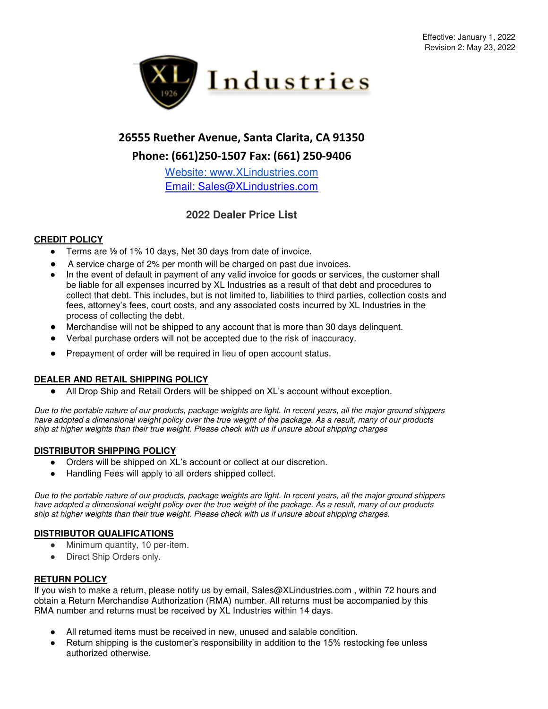

# **26555 Ruether Avenue, Santa Clarita, CA 91350 Phone: (661)250-1507 Fax: (661) 250-9406**

[Website: www.XLindustries.com](http://www.xlindustries.com/) Email: Sales@XLindustries.com

## **2022 Dealer Price List**

### **CREDIT POLICY**

- Terms are <sup>1</sup>/<sub>2</sub> of 1% 10 days, Net 30 days from date of invoice.
- A service charge of 2% per month will be charged on past due invoices.
- In the event of default in payment of any valid invoice for goods or services, the customer shall be liable for all expenses incurred by XL Industries as a result of that debt and procedures to collect that debt. This includes, but is not limited to, liabilities to third parties, collection costs and fees, attorney's fees, court costs, and any associated costs incurred by XL Industries in the process of collecting the debt.
- Merchandise will not be shipped to any account that is more than 30 days delinquent.
- Verbal purchase orders will not be accepted due to the risk of inaccuracy.
- Prepayment of order will be required in lieu of open account status.

#### **DEALER AND RETAIL SHIPPING POLICY**

● All Drop Ship and Retail Orders will be shipped on XL's account without exception.

*Due to the portable nature of our products, package weights are light. In recent years, all the major ground shippers have adopted a dimensional weight policy over the true weight of the package. As a result, many of our products ship at higher weights than their true weight. Please check with us if unsure about shipping charges*

#### **DISTRIBUTOR SHIPPING POLICY**

- Orders will be shipped on XL's account or collect at our discretion.
- Handling Fees will apply to all orders shipped collect.

*Due to the portable nature of our products, package weights are light. In recent years, all the major ground shippers have adopted a dimensional weight policy over the true weight of the package. As a result, many of our products ship at higher weights than their true weight. Please check with us if unsure about shipping charges.* 

#### **DISTRIBUTOR QUALIFICATIONS**

- Minimum quantity, 10 per-item.
- Direct Ship Orders only.

#### **RETURN POLICY**

If you wish to make a return, please notify us by email, Sales@XLindustries.com , within 72 hours and obtain a Return Merchandise Authorization (RMA) number. All returns must be accompanied by this RMA number and returns must be received by XL Industries within 14 days.

- All returned items must be received in new, unused and salable condition.
- Return shipping is the customer's responsibility in addition to the 15% restocking fee unless authorized otherwise.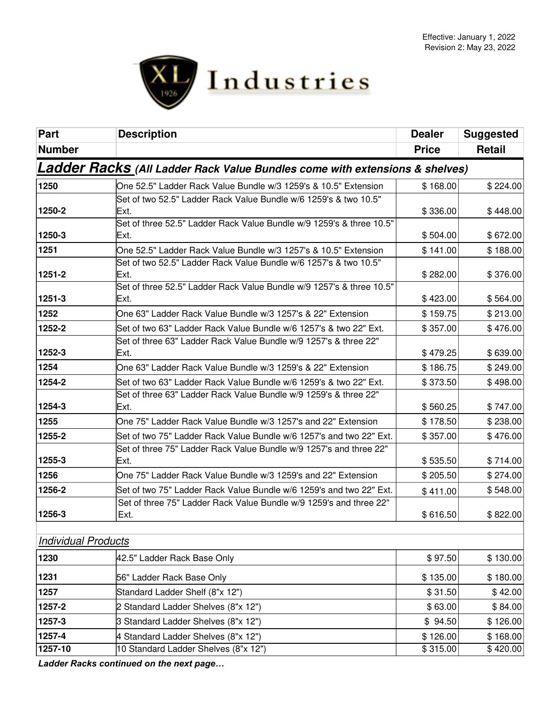

| Part                       | <b>Description</b>                                                                     | <b>Dealer</b> | <b>Suggested</b> |
|----------------------------|----------------------------------------------------------------------------------------|---------------|------------------|
| <b>Number</b>              |                                                                                        | <b>Price</b>  | <b>Retail</b>    |
|                            | <b>Ladder Racks (All Ladder Rack Value Bundles come with extensions &amp; shelves)</b> |               |                  |
| 1250                       | One 52.5" Ladder Rack Value Bundle w/3 1259's & 10.5" Extension                        | \$168.00      | \$224.00         |
| 1250-2                     | Set of two 52.5" Ladder Rack Value Bundle w/6 1259's & two 10.5"<br>Ext.               | \$336.00      | \$448.00         |
| 1250-3                     | Set of three 52.5" Ladder Rack Value Bundle w/9 1259's & three 10.5"<br>Ext.           | \$504.00      | \$672.00         |
| 1251                       | One 52.5" Ladder Rack Value Bundle w/3 1257's & 10.5" Extension                        | \$141.00      | \$188.00         |
| 1251-2                     | Set of two 52.5" Ladder Rack Value Bundle w/6 1257's & two 10.5"<br>lExt.              | \$282.00      | \$376.00         |
| 1251-3                     | Set of three 52.5" Ladder Rack Value Bundle w/9 1257's & three 10.5"<br>Ext.           | \$423.00      | \$564.00         |
| 1252                       | One 63" Ladder Rack Value Bundle w/3 1257's & 22" Extension                            | \$159.75      | \$213.00         |
| 1252-2                     | Set of two 63" Ladder Rack Value Bundle w/6 1257's & two 22" Ext.                      | \$357.00      | \$476.00         |
| 1252-3                     | Set of three 63" Ladder Rack Value Bundle w/9 1257's & three 22"<br>Ext.               | \$479.25      | \$639.00         |
| 1254                       | One 63" Ladder Rack Value Bundle w/3 1259's & 22" Extension                            | \$186.75      | \$249.00         |
| 1254-2                     | Set of two 63" Ladder Rack Value Bundle w/6 1259's & two 22" Ext.                      | \$373.50      | \$498.00         |
| 1254-3                     | Set of three 63" Ladder Rack Value Bundle w/9 1259's & three 22"<br>lExt.              | \$560.25      | \$747.00         |
| 1255                       | One 75" Ladder Rack Value Bundle w/3 1257's and 22" Extension                          | \$178.50      | \$238.00         |
| 1255-2                     | Set of two 75" Ladder Rack Value Bundle w/6 1257's and two 22" Ext.                    | \$357.00      | \$476.00         |
| 1255-3                     | Set of three 75" Ladder Rack Value Bundle w/9 1257's and three 22"<br>lExt.            | \$535.50      | \$714.00         |
| 1256                       | One 75" Ladder Rack Value Bundle w/3 1259's and 22" Extension                          | \$205.50      | \$274.00         |
| 1256-2                     | Set of two 75" Ladder Rack Value Bundle w/6 1259's and two 22" Ext.                    | \$411.00      | \$548.00         |
| 1256-3                     | Set of three 75" Ladder Rack Value Bundle w/9 1259's and three 22"<br>Ext.             | \$616.50      | \$822.00         |
| <b>Individual Products</b> |                                                                                        |               |                  |
| 1230                       | 42.5" Ladder Rack Base Only                                                            | \$97.50       | \$130.00         |
| 1231                       | 56" Ladder Rack Base Only                                                              | \$135.00      | \$180.00         |
| 1257                       | Standard Ladder Shelf (8"x 12")                                                        | \$31.50       | \$42.00          |
| 1257-2                     | 2 Standard Ladder Shelves (8"x 12")                                                    | \$63.00       | \$84.00          |
| 1257-3                     | 3 Standard Ladder Shelves (8"x 12")                                                    | \$94.50       | \$126.00         |
| 1257-4                     | 4 Standard Ladder Shelves (8"x 12")                                                    | \$126.00      | \$168.00         |
| 1257-10                    | 10 Standard Ladder Shelves (8"x 12")                                                   | \$315.00      | \$420.00         |

*Ladder Racks continued on the next page…*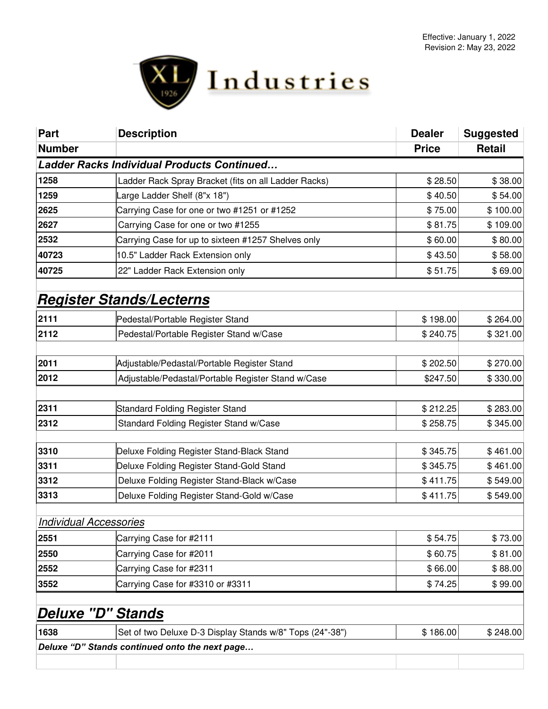

| <b>Part</b>                   | <b>Description</b>                                       | <b>Dealer</b> | <b>Suggested</b> |
|-------------------------------|----------------------------------------------------------|---------------|------------------|
| <b>Number</b>                 |                                                          | <b>Price</b>  | <b>Retail</b>    |
|                               | <b>Ladder Racks Individual Products Continued</b>        |               |                  |
| 1258                          | Ladder Rack Spray Bracket (fits on all Ladder Racks)     | \$28.50       | \$38.00          |
| 1259                          | arge Ladder Shelf (8"x 18")                              | \$40.50       | \$54.00          |
| 2625                          | Carrying Case for one or two #1251 or #1252              | \$75.00       | \$100.00         |
| 2627                          | Carrying Case for one or two #1255                       | \$81.75       | \$109.00         |
| 2532                          | Carrying Case for up to sixteen #1257 Shelves only       | \$60.00       | \$80.00          |
| 40723                         | 10.5" Ladder Rack Extension only                         | \$43.50       | \$58.00          |
| 40725                         | 22" Ladder Rack Extension only                           | \$51.75       | \$69.00          |
|                               |                                                          |               |                  |
|                               | <b>Register Stands/Lecterns</b>                          |               |                  |
| 2111                          | Pedestal/Portable Register Stand                         | \$198.00      | \$264.00         |
| 2112                          | Pedestal/Portable Register Stand w/Case                  | \$240.75      | \$321.00         |
|                               |                                                          |               |                  |
| 2011                          | Adjustable/Pedastal/Portable Register Stand              | \$202.50      | \$270.00         |
| 2012                          | Adjustable/Pedastal/Portable Register Stand w/Case       | \$247.50      | \$330.00         |
|                               |                                                          |               |                  |
| 2311                          | Standard Folding Register Stand                          | \$212.25      | \$283.00         |
| 2312                          | Standard Folding Register Stand w/Case                   | \$258.75      | \$345.00         |
|                               |                                                          |               |                  |
| 3310                          | Deluxe Folding Register Stand-Black Stand                | \$345.75      | \$461.00         |
| 3311                          | Deluxe Folding Register Stand-Gold Stand                 | \$345.75      | \$461.00         |
| 3312                          | Deluxe Folding Register Stand-Black w/Case               | \$411.75      | \$549.00         |
| 3313                          | Deluxe Folding Register Stand-Gold w/Case                | \$411.75      | \$549.00         |
| <b>Individual Accessories</b> |                                                          |               |                  |
| 2551                          | Carrying Case for #2111                                  | \$54.75       | \$73.00          |
| 2550                          | Carrying Case for #2011                                  | \$60.75       | \$81.00          |
| 2552                          | Carrying Case for #2311                                  | \$66.00       | \$88.00          |
| 3552                          | Carrying Case for #3310 or #3311                         | \$74.25       | \$99.00          |
|                               |                                                          |               |                  |
| Deluxe "D" Stands             |                                                          |               |                  |
| 1638                          | Set of two Deluxe D-3 Display Stands w/8" Tops (24"-38") | \$186.00      | \$248.00         |
|                               | Deluxe "D" Stands continued onto the next page           |               |                  |
|                               |                                                          |               |                  |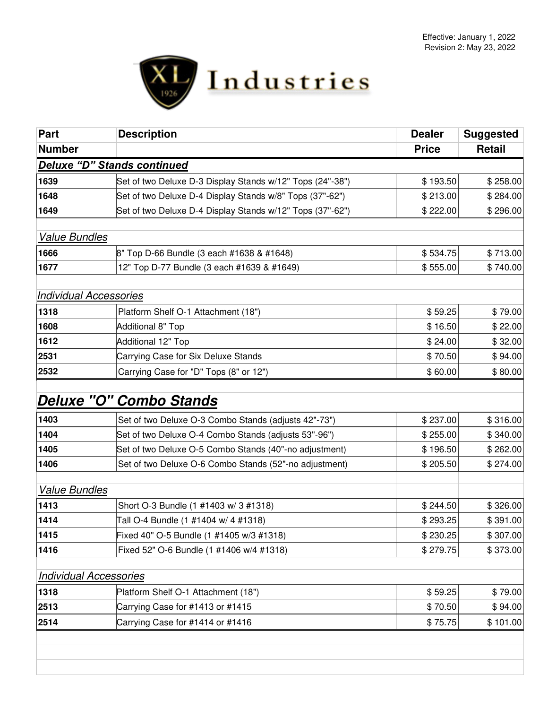

| <b>Part</b>                        | <b>Description</b>                                        | <b>Dealer</b> | <b>Suggested</b> |
|------------------------------------|-----------------------------------------------------------|---------------|------------------|
| <b>Number</b>                      |                                                           | <b>Price</b>  | Retail           |
| <b>Deluxe "D" Stands continued</b> |                                                           |               |                  |
| 1639                               | Set of two Deluxe D-3 Display Stands w/12" Tops (24"-38") | \$193.50      | \$258.00         |
| 1648                               | Set of two Deluxe D-4 Display Stands w/8" Tops (37"-62")  | \$213.00      | \$284.00         |
| 1649                               | Set of two Deluxe D-4 Display Stands w/12" Tops (37"-62") | \$222.00      | \$296.00         |
|                                    |                                                           |               |                  |
| <b>Value Bundles</b>               |                                                           |               |                  |
| 1666                               | 8" Top D-66 Bundle (3 each #1638 & #1648)                 | \$534.75      | \$713.00         |
| 1677                               | 12" Top D-77 Bundle (3 each #1639 & #1649)                | \$555.00      | \$740.00         |
|                                    |                                                           |               |                  |
| Individual Accessories             |                                                           |               |                  |
| 1318                               | Platform Shelf O-1 Attachment (18")                       | \$59.25       | \$79.00          |
| 1608                               | Additional 8" Top                                         | \$16.50       | \$22.00          |
| 1612                               | Additional 12" Top                                        | \$24.00       | \$32.00          |
| 2531                               | Carrying Case for Six Deluxe Stands                       | \$70.50       | \$94.00          |
| 2532                               | Carrying Case for "D" Tops (8" or 12")                    | \$60.00       | \$80.00          |
|                                    |                                                           |               |                  |
|                                    | Deluxe "O" Combo Stands                                   |               |                  |
| 1403                               | Set of two Deluxe O-3 Combo Stands (adjusts 42"-73")      | \$237.00      | \$316.00         |
| 1404                               | Set of two Deluxe O-4 Combo Stands (adjusts 53"-96")      | \$255.00      | \$340.00         |
| 1405                               | Set of two Deluxe O-5 Combo Stands (40"-no adjustment)    | \$196.50      | \$262.00         |
| 1406                               | Set of two Deluxe O-6 Combo Stands (52"-no adjustment)    | \$205.50      | \$274.00         |
|                                    |                                                           |               |                  |
| <b>Value Bundles</b>               |                                                           |               |                  |
| 1413                               | Short O-3 Bundle (1 #1403 w/ 3 #1318)                     | \$244.50      | \$326.00         |
| 1414                               | Tall O-4 Bundle (1 #1404 w/ 4 #1318)                      | \$293.25      | \$391.00         |
| 1415                               | Fixed 40" O-5 Bundle (1 #1405 w/3 #1318)                  | \$230.25      | \$307.00         |
| 1416                               | Fixed 52" O-6 Bundle (1 #1406 w/4 #1318)                  | \$279.75      | \$373.00         |
|                                    |                                                           |               |                  |
| <b>Individual Accessories</b>      |                                                           |               |                  |
| 1318                               | Platform Shelf O-1 Attachment (18")                       | \$59.25       | \$79.00          |
| 2513                               | Carrying Case for #1413 or #1415                          | \$70.50       | \$94.00          |
| 2514                               | Carrying Case for #1414 or #1416                          | \$75.75       | \$101.00         |
|                                    |                                                           |               |                  |
|                                    |                                                           |               |                  |
|                                    |                                                           |               |                  |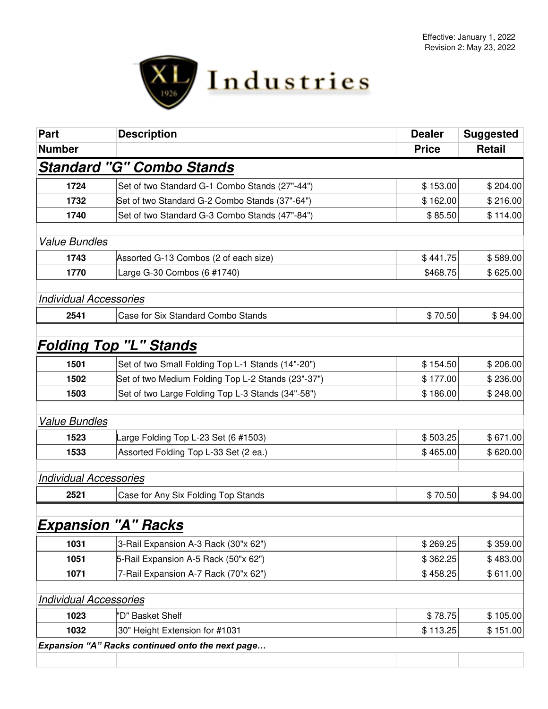

| <b>Part</b>                                      | <b>Description</b>                                 | <b>Dealer</b> | <b>Suggested</b> |  |  |
|--------------------------------------------------|----------------------------------------------------|---------------|------------------|--|--|
| <b>Number</b>                                    |                                                    | <b>Price</b>  | <b>Retail</b>    |  |  |
|                                                  | <b>Standard "G" Combo Stands</b>                   |               |                  |  |  |
| 1724                                             | Set of two Standard G-1 Combo Stands (27"-44")     | \$153.00      | \$204.00         |  |  |
| 1732                                             | Set of two Standard G-2 Combo Stands (37"-64")     | \$162.00      | \$216.00         |  |  |
| 1740                                             | Set of two Standard G-3 Combo Stands (47"-84")     | \$85.50       | \$114.00         |  |  |
| <b>Value Bundles</b>                             |                                                    |               |                  |  |  |
| 1743                                             | Assorted G-13 Combos (2 of each size)              | \$441.75      | \$589.00         |  |  |
| 1770                                             | Large G-30 Combos (6 #1740)                        | \$468.75      | \$625.00         |  |  |
| <b>Individual Accessories</b>                    |                                                    |               |                  |  |  |
| 2541                                             | Case for Six Standard Combo Stands                 | \$70.50       | \$94.00          |  |  |
|                                                  |                                                    |               |                  |  |  |
|                                                  | <b>Folding Top "L" Stands</b>                      |               |                  |  |  |
| 1501                                             | Set of two Small Folding Top L-1 Stands (14"-20")  | \$154.50      | \$206.00         |  |  |
| 1502                                             | Set of two Medium Folding Top L-2 Stands (23"-37") | \$177.00      | \$236.00         |  |  |
| 1503                                             | Set of two Large Folding Top L-3 Stands (34"-58")  | \$186.00      | \$248.00         |  |  |
| <b>Value Bundles</b>                             |                                                    |               |                  |  |  |
| 1523                                             | arge Folding Top L-23 Set (6 #1503)                | \$503.25      | \$671.00         |  |  |
| 1533                                             | Assorted Folding Top L-33 Set (2 ea.)              | \$465.00      | \$620.00         |  |  |
| <b>Individual Accessories</b>                    |                                                    |               |                  |  |  |
| 2521                                             | Case for Any Six Folding Top Stands                | \$70.50       | \$94.00          |  |  |
|                                                  |                                                    |               |                  |  |  |
|                                                  | <u>Expansion "A" Racks</u>                         |               |                  |  |  |
| 1031                                             | 3-Rail Expansion A-3 Rack (30"x 62")               | \$269.25      | \$359.00         |  |  |
| 1051                                             | 5-Rail Expansion A-5 Rack (50"x 62")               | \$362.25      | \$483.00         |  |  |
| 1071                                             | 7-Rail Expansion A-7 Rack (70"x 62")               | \$458.25      | \$611.00         |  |  |
| <b>Individual Accessories</b>                    |                                                    |               |                  |  |  |
| 1023                                             | 'D" Basket Shelf                                   | \$78.75       | \$105.00         |  |  |
| 1032                                             | 30" Height Extension for #1031                     | \$113.25      | \$151.00         |  |  |
| Expansion "A" Racks continued onto the next page |                                                    |               |                  |  |  |
|                                                  |                                                    |               |                  |  |  |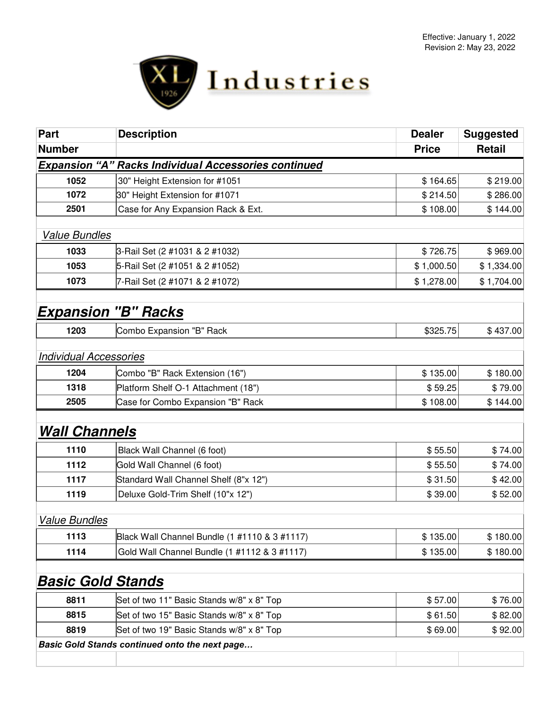

| Part                          | <b>Description</b>                                          | <b>Dealer</b> | <b>Suggested</b> |
|-------------------------------|-------------------------------------------------------------|---------------|------------------|
| <b>Number</b>                 |                                                             | <b>Price</b>  | <b>Retail</b>    |
|                               | <b>Expansion "A" Racks Individual Accessories continued</b> |               |                  |
| 1052                          | 30" Height Extension for #1051                              | \$164.65      | \$219.00         |
| 1072                          | 30" Height Extension for #1071                              | \$214.50      | \$286.00         |
| 2501                          | Case for Any Expansion Rack & Ext.                          | \$108.00      | \$144.00         |
| <b>Value Bundles</b>          |                                                             |               |                  |
| 1033                          | 3-Rail Set (2 #1031 & 2 #1032)                              | \$726.75      | \$969.00         |
| 1053                          | 5-Rail Set (2 #1051 & 2 #1052)                              | \$1,000.50    | \$1,334.00       |
| 1073                          | 7-Rail Set (2 #1071 & 2 #1072)                              | \$1,278.00    | \$1,704.00       |
| <b>Expansion "B" Racks</b>    |                                                             |               |                  |
| 1203                          | Combo Expansion "B" Rack                                    | \$325.75      | \$437.00         |
| <b>Individual Accessories</b> |                                                             |               |                  |
| 1204                          | Combo "B" Rack Extension (16")                              | \$135.00      | \$180.00         |
| 1318                          | Platform Shelf O-1 Attachment (18")                         | \$59.25       | \$79.00          |
| 2505                          | Case for Combo Expansion "B" Rack                           | \$108.00      | \$144.00         |
| <b>Wall Channels</b>          |                                                             |               |                  |
| 1110                          | Black Wall Channel (6 foot)                                 | \$55.50       | \$74.00          |
| 1112                          | Gold Wall Channel (6 foot)                                  | \$55.50       | \$74.00          |
| 1117                          | Standard Wall Channel Shelf (8"x 12")                       | \$31.50       | \$42.00          |
| 1119                          | Deluxe Gold-Trim Shelf (10"x 12")                           | \$39.00       | \$52.00          |
| <b>Value Bundles</b>          |                                                             |               |                  |
| 1113                          | Black Wall Channel Bundle (1 #1110 & 3 #1117)               | \$135.00      | \$180.00         |
| 1114                          | Gold Wall Channel Bundle (1 #1112 & 3 #1117)                | \$135.00      | \$180.00         |
| <u>Basic Gold Stands</u>      |                                                             |               |                  |
| 8811                          | Set of two 11" Basic Stands w/8" x 8" Top                   | \$57.00       | \$76.00          |
| 8815                          | Set of two 15" Basic Stands w/8" x 8" Top                   | \$61.50       | \$82.00          |
| 8819                          | Set of two 19" Basic Stands w/8" x 8" Top                   | \$69.00       | \$92.00          |
|                               | Basic Gold Stands continued onto the next page              |               |                  |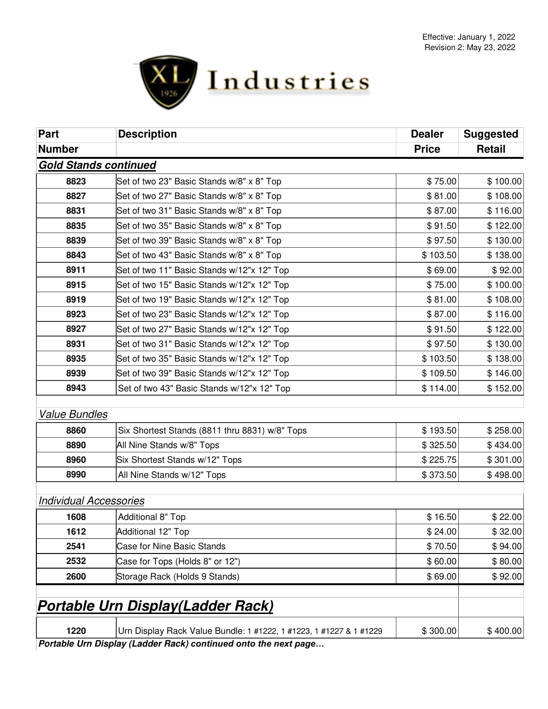

| Part                          | <b>Description</b>                                                 | <b>Dealer</b> | <b>Suggested</b> |
|-------------------------------|--------------------------------------------------------------------|---------------|------------------|
| <b>Number</b>                 |                                                                    | <b>Price</b>  | Retail           |
| Gold Stands continued         |                                                                    |               |                  |
| 8823                          | Set of two 23" Basic Stands w/8" x 8" Top                          | \$75.00       | \$100.00         |
| 8827                          | Set of two 27" Basic Stands w/8" x 8" Top                          | \$81.00       | \$108.00         |
| 8831                          | Set of two 31" Basic Stands w/8" x 8" Top                          | \$87.00       | \$116.00         |
| 8835                          | Set of two 35" Basic Stands w/8" x 8" Top                          | \$91.50       | \$122.00         |
| 8839                          | Set of two 39" Basic Stands w/8" x 8" Top                          | \$97.50       | \$130.00         |
| 8843                          | Set of two 43" Basic Stands w/8" x 8" Top                          | \$103.50      | \$138.00         |
| 8911                          | Set of two 11" Basic Stands w/12"x 12" Top                         | \$69.00       | \$92.00          |
| 8915                          | Set of two 15" Basic Stands w/12"x 12" Top                         | \$75.00       | \$100.00         |
| 8919                          | Set of two 19" Basic Stands w/12"x 12" Top                         | \$81.00       | \$108.00         |
| 8923                          | Set of two 23" Basic Stands w/12"x 12" Top                         | \$87.00       | \$116.00         |
| 8927                          | Set of two 27" Basic Stands w/12"x 12" Top                         | \$91.50       | \$122.00         |
| 8931                          | Set of two 31" Basic Stands w/12"x 12" Top                         | \$97.50       | \$130.00         |
| 8935                          | Set of two 35" Basic Stands w/12"x 12" Top                         | \$103.50      | \$138.00         |
| 8939                          | Set of two 39" Basic Stands w/12"x 12" Top                         | \$109.50      | \$146.00         |
| 8943                          | Set of two 43" Basic Stands w/12"x 12" Top                         | \$114.00      | \$152.00         |
|                               |                                                                    |               |                  |
| <b>Value Bundles</b>          |                                                                    |               |                  |
| 8860                          | Six Shortest Stands (8811 thru 8831) w/8" Tops                     | \$193.50      | \$258.00         |
| 8890                          | All Nine Stands w/8" Tops                                          | \$325.50      | \$434.00         |
| 8960                          | Six Shortest Stands w/12" Tops                                     | \$225.75      | \$301.00         |
| 8990                          | All Nine Stands w/12" Tops                                         | \$373.50      | \$498.00         |
|                               |                                                                    |               |                  |
| <b>Individual Accessories</b> |                                                                    |               |                  |
| 1608                          | Additional 8" Top                                                  | \$16.50       | \$22.00          |
| 1612                          | Additional 12" Top                                                 | \$24.00       | \$32.00          |
| 2541                          | <b>Case for Nine Basic Stands</b>                                  | \$70.50       | \$94.00          |
| 2532                          | Case for Tops (Holds 8" or 12")                                    | \$60.00       | \$80.00          |
| 2600                          | Storage Rack (Holds 9 Stands)                                      | \$69.00       | \$92.00          |
|                               |                                                                    |               |                  |
|                               | <b>Portable Urn Display(Ladder Rack)</b>                           |               |                  |
| 1220                          | Urn Display Rack Value Bundle: 1 #1222, 1 #1223, 1 #1227 & 1 #1229 | \$300.00      | \$400.00         |
|                               | Portable Urn Display (Ladder Rack) continued onto the next page    |               |                  |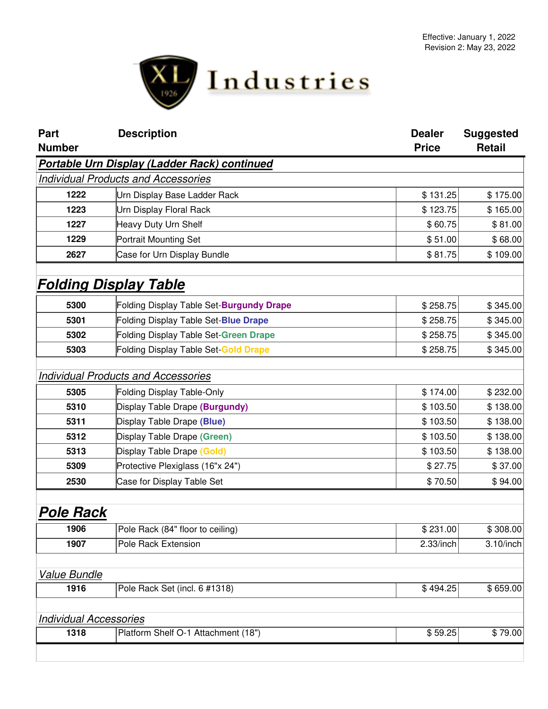

| <b>Part</b>                   | <b>Description</b>                           | <b>Dealer</b> | <b>Suggested</b> |
|-------------------------------|----------------------------------------------|---------------|------------------|
| <b>Number</b>                 |                                              | <b>Price</b>  | <b>Retail</b>    |
|                               | Portable Urn Display (Ladder Rack) continued |               |                  |
|                               | <b>Individual Products and Accessories</b>   |               |                  |
| 1222                          | Urn Display Base Ladder Rack                 | \$131.25      | \$175.00         |
| 1223                          | Urn Display Floral Rack                      | \$123.75      | \$165.00         |
| 1227                          | Heavy Duty Urn Shelf                         | \$60.75       | \$81.00          |
| 1229                          | Portrait Mounting Set                        | \$51.00       | \$68.00          |
| 2627                          | Case for Urn Display Bundle                  | \$81.75       | \$109.00         |
|                               | <b>Folding Display Table</b>                 |               |                  |
| 5300                          | Folding Display Table Set-Burgundy Drape     | \$258.75      | \$345.00         |
| 5301                          | Folding Display Table Set-Blue Drape         | \$258.75      | \$345.00         |
| 5302                          | Folding Display Table Set-Green Drape        | \$258.75      | \$345.00         |
| 5303                          | Folding Display Table Set-Gold Drape         | \$258.75      | \$345.00         |
|                               | <b>Individual Products and Accessories</b>   |               |                  |
| 5305                          | Folding Display Table-Only                   | \$174.00      | \$232.00         |
| 5310                          | Display Table Drape (Burgundy)               | \$103.50      | \$138.00         |
| 5311                          | Display Table Drape (Blue)                   | \$103.50      | \$138.00         |
| 5312                          | Display Table Drape (Green)                  | \$103.50      | \$138.00         |
| 5313                          | Display Table Drape (Gold)                   | \$103.50      | \$138.00         |
| 5309                          | Protective Plexiglass (16"x 24")             | \$27.75       | \$37.00          |
| 2530                          | Case for Display Table Set                   | \$70.50       | \$94.00          |
| Pole Rack                     |                                              |               |                  |
| 1906                          | Pole Rack (84" floor to ceiling)             | \$231.00      | \$308.00         |
| 1907                          | Pole Rack Extension                          | 2.33/inch     | $3.10$ /inch     |
| Value Bundle                  |                                              |               |                  |
| 1916                          | Pole Rack Set (incl. 6 #1318)                | \$494.25      | \$659.00         |
| <b>Individual Accessories</b> |                                              |               |                  |
| 1318                          | Platform Shelf O-1 Attachment (18")          | \$59.25       | \$79.00          |
|                               |                                              |               |                  |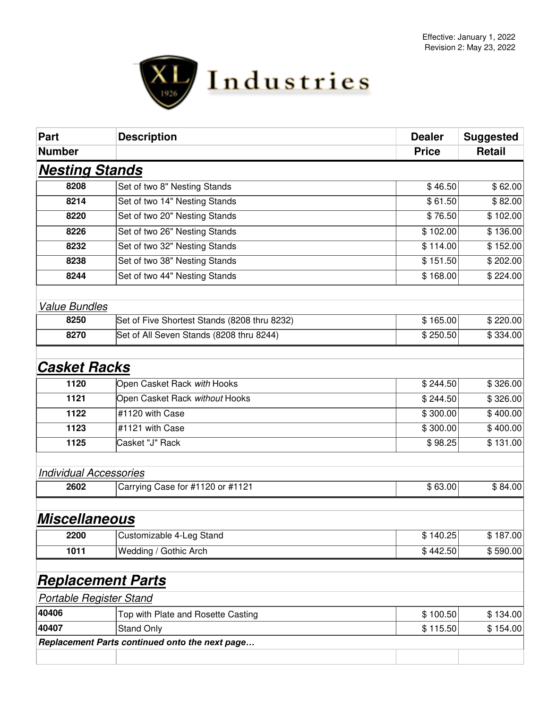

| <b>Part</b>                   | <b>Description</b>                             | <b>Dealer</b> | <b>Suggested</b> |
|-------------------------------|------------------------------------------------|---------------|------------------|
| <b>Number</b>                 |                                                | <b>Price</b>  | Retail           |
| <b>Nesting Stands</b>         |                                                |               |                  |
| 8208                          | Set of two 8" Nesting Stands                   | \$46.50       | \$62.00          |
| 8214                          | Set of two 14" Nesting Stands                  | \$61.50       | \$82.00          |
| 8220                          | Set of two 20" Nesting Stands                  | \$76.50       | \$102.00         |
| 8226                          | Set of two 26" Nesting Stands                  | \$102.00      | \$136.00         |
| 8232                          | Set of two 32" Nesting Stands                  | \$114.00      | \$152.00         |
| 8238                          | Set of two 38" Nesting Stands                  | \$151.50      | \$202.00         |
| 8244                          | Set of two 44" Nesting Stands                  | \$168.00      | \$224.00         |
| <b>Value Bundles</b>          |                                                |               |                  |
| 8250                          | Set of Five Shortest Stands (8208 thru 8232)   | \$165.00      | \$220.00         |
| 8270                          | Set of All Seven Stands (8208 thru 8244)       | \$250.50      | \$334.00         |
| <b>Casket Racks</b>           |                                                |               |                  |
| 1120                          | Open Casket Rack with Hooks                    | \$244.50      | \$326.00         |
| 1121                          | Open Casket Rack without Hooks                 | \$244.50      | \$326.00         |
| 1122                          | #1120 with Case                                | \$300.00      | \$400.00         |
| 1123                          | #1121 with Case                                | \$300.00      | \$400.00         |
| 1125                          | Casket "J" Rack                                | \$98.25       | \$131.00         |
| <b>Individual Accessories</b> |                                                |               |                  |
| 2602                          | Carrying Case for #1120 or #1121               | \$63.00       | \$84.00          |
| <b>Miscellaneous</b>          |                                                |               |                  |
| 2200                          | Customizable 4-Leg Stand                       | \$140.25      | \$187.00         |
| 1011                          | Wedding / Gothic Arch                          | \$442.50      | \$590.00         |
| <b>Replacement Parts</b>      |                                                |               |                  |
| Portable Register Stand       |                                                |               |                  |
| 40406                         | Top with Plate and Rosette Casting             | \$100.50      | \$134.00         |
| 40407                         | <b>Stand Only</b>                              | \$115.50      | \$154.00         |
|                               | Replacement Parts continued onto the next page |               |                  |
|                               |                                                |               |                  |